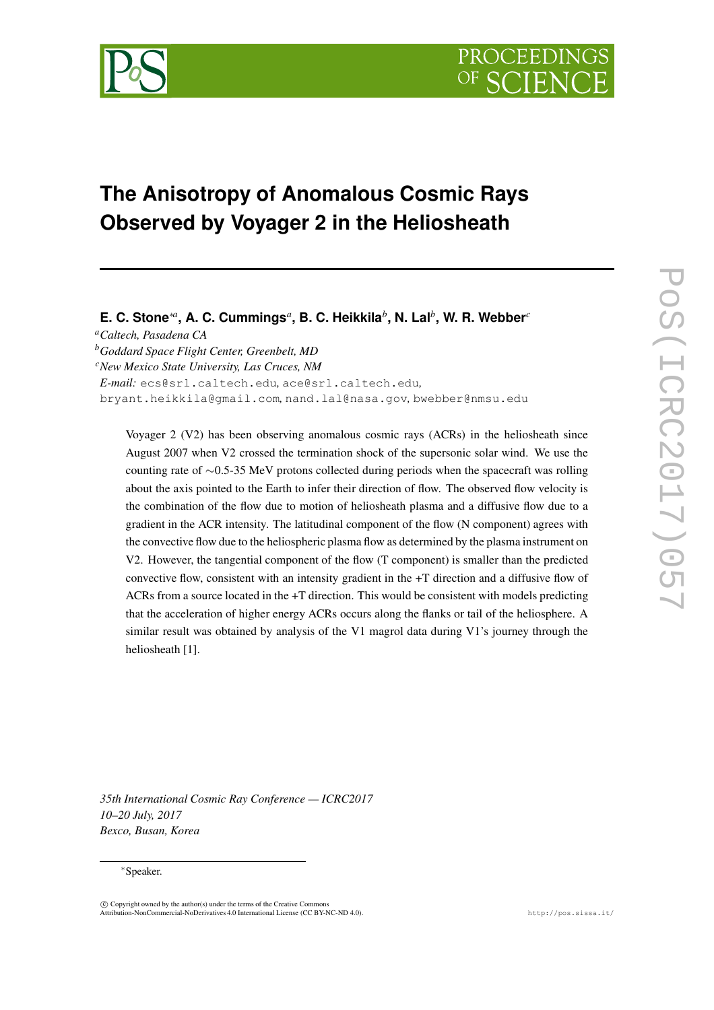

# **The Anisotropy of Anomalous Cosmic Rays Observed by Voyager 2 in the Heliosheath**

# E. C. Stone $^{*a}$ , A. C. Cummings ${}^a$ , B. C. Heikkila ${}^b$ , N. Lal ${}^b$ , W. R. Webber ${}^c$

*<sup>a</sup>Caltech, Pasadena CA*

*<sup>b</sup>Goddard Space Flight Center, Greenbelt, MD*

*<sup>c</sup>New Mexico State University, Las Cruces, NM*

*E-mail:* ecs@srl.caltech.edu*,* ace@srl.caltech.edu*,*

bryant.heikkila@gmail.com*,* nand.lal@nasa.gov*,* bwebber@nmsu.edu

Voyager 2 (V2) has been observing anomalous cosmic rays (ACRs) in the heliosheath since August 2007 when V2 crossed the termination shock of the supersonic solar wind. We use the counting rate of ∼0.5-35 MeV protons collected during periods when the spacecraft was rolling about the axis pointed to the Earth to infer their direction of flow. The observed flow velocity is the combination of the flow due to motion of heliosheath plasma and a diffusive flow due to a gradient in the ACR intensity. The latitudinal component of the flow (N component) agrees with the convective flow due to the heliospheric plasma flow as determined by the plasma instrument on V2. However, the tangential component of the flow (T component) is smaller than the predicted convective flow, consistent with an intensity gradient in the +T direction and a diffusive flow of ACRs from a source located in the +T direction. This would be consistent with models predicting that the acceleration of higher energy ACRs occurs along the flanks or tail of the heliosphere. A similar result was obtained by analysis of the V1 magrol data during V1's journey through the heliosheath [1].

*35th International Cosmic Ray Conference — ICRC2017 10–20 July, 2017 Bexco, Busan, Korea*

#### <sup>∗</sup>Speaker.

 $\overline{c}$  Copyright owned by the author(s) under the terms of the Creative Common Attribution-NonCommercial-NoDerivatives 4.0 International License (CC BY-NC-ND 4.0). http://pos.sissa.it/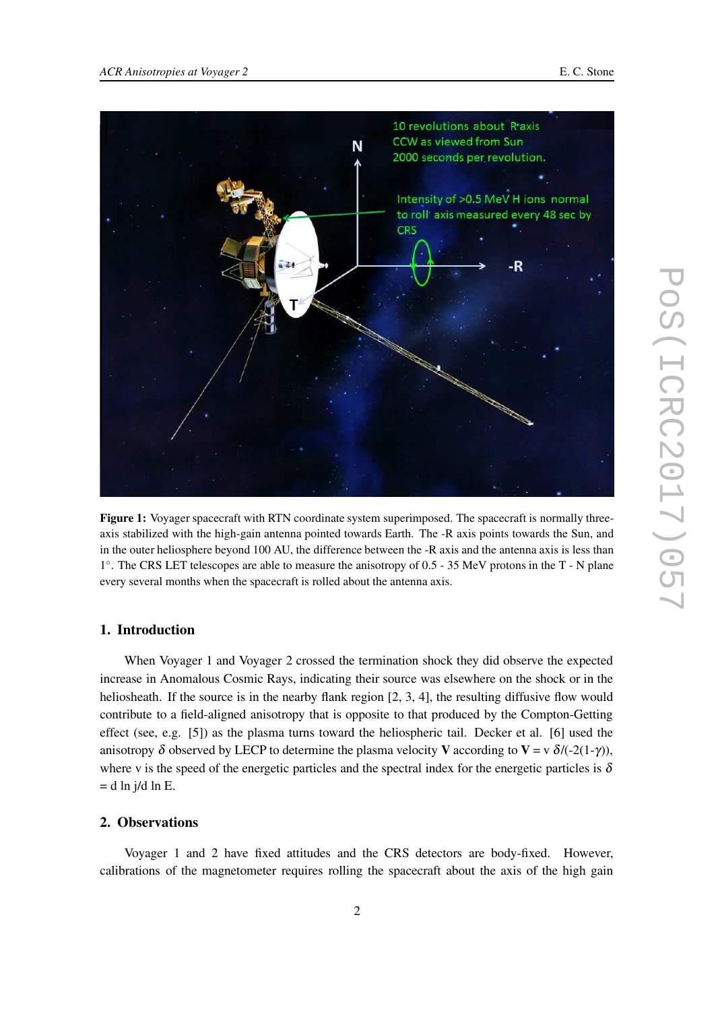

**Figure 1:** Voyager spacecraft with RTN coordinate system superimposed. The spacecraft is normally threeaxis stabilized with the high-gain antenna pointed towards Earth. The -R axis points towards the Sun, and in the outer heliosphere beyond 100 AU, the difference between the -R axis and the antenna axis is less than 1 ◦ . The CRS LET telescopes are able to measure the anisotropy of 0.5 - 35 MeV protons in the T - N plane every several months when the spacecraft is rolled about the antenna axis.

### **1. Introduction**

When Voyager 1 and Voyager 2 crossed the termination shock they did observe the expected increase in Anomalous Cosmic Rays, indicating their source was elsewhere on the shock or in the heliosheath. If the source is in the nearby flank region [2, 3, 4], the resulting diffusive flow would contribute to a field-aligned anisotropy that is opposite to that produced by the Compton-Getting effect (see, e.g. [5]) as the plasma turns toward the heliospheric tail. Decker et al. [6] used the anisotropy  $\delta$  observed by LECP to determine the plasma velocity **V** according to **V** = v  $\delta$ /(-2(1-γ)), where v is the speed of the energetic particles and the spectral index for the energetic particles is  $\delta$  $=$  d ln j/d ln E.

## **2. Observations**

Voyager 1 and 2 have fixed attitudes and the CRS detectors are body-fixed. However, calibrations of the magnetometer requires rolling the spacecraft about the axis of the high gain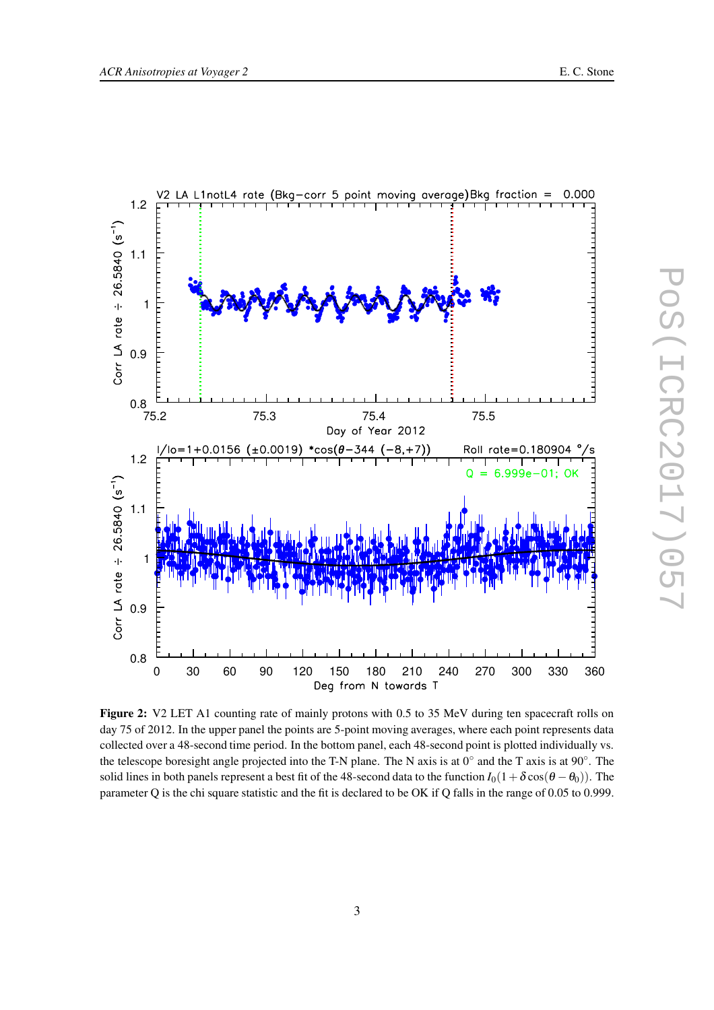



**Figure 2:** V2 LET A1 counting rate of mainly protons with 0.5 to 35 MeV during ten spacecraft rolls on day 75 of 2012. In the upper panel the points are 5-point moving averages, where each point represents data collected over a 48-second time period. In the bottom panel, each 48-second point is plotted individually vs. the telescope boresight angle projected into the T-N plane. The N axis is at  $0^{\circ}$  and the T axis is at  $90^{\circ}$ . The solid lines in both panels represent a best fit of the 48-second data to the function  $I_0(1+\delta\cos(\theta-\theta_0))$ . The parameter Q is the chi square statistic and the fit is declared to be OK if Q falls in the range of 0.05 to 0.999.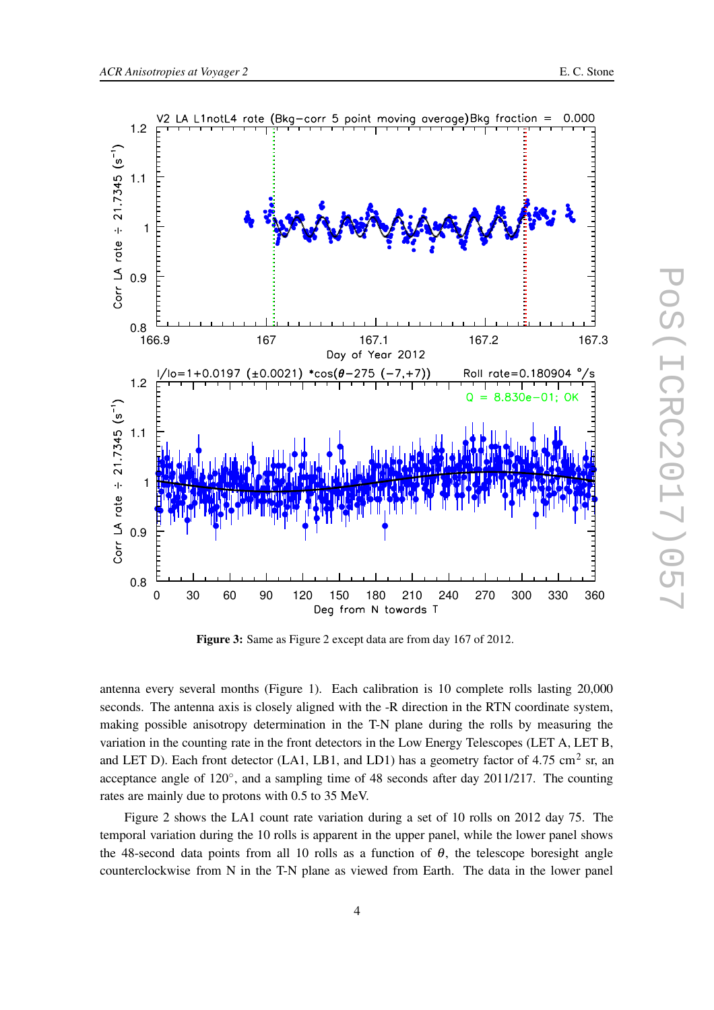



**Figure 3:** Same as Figure 2 except data are from day 167 of 2012.

antenna every several months (Figure 1). Each calibration is 10 complete rolls lasting 20,000 seconds. The antenna axis is closely aligned with the -R direction in the RTN coordinate system, making possible anisotropy determination in the T-N plane during the rolls by measuring the variation in the counting rate in the front detectors in the Low Energy Telescopes (LET A, LET B, and LET D). Each front detector (LA1, LB1, and LD1) has a geometry factor of 4.75 cm<sup>2</sup> sr, an acceptance angle of 120°, and a sampling time of 48 seconds after day 2011/217. The counting rates are mainly due to protons with 0.5 to 35 MeV.

Figure 2 shows the LA1 count rate variation during a set of 10 rolls on 2012 day 75. The temporal variation during the 10 rolls is apparent in the upper panel, while the lower panel shows the 48-second data points from all 10 rolls as a function of  $\theta$ , the telescope boresight angle counterclockwise from N in the T-N plane as viewed from Earth. The data in the lower panel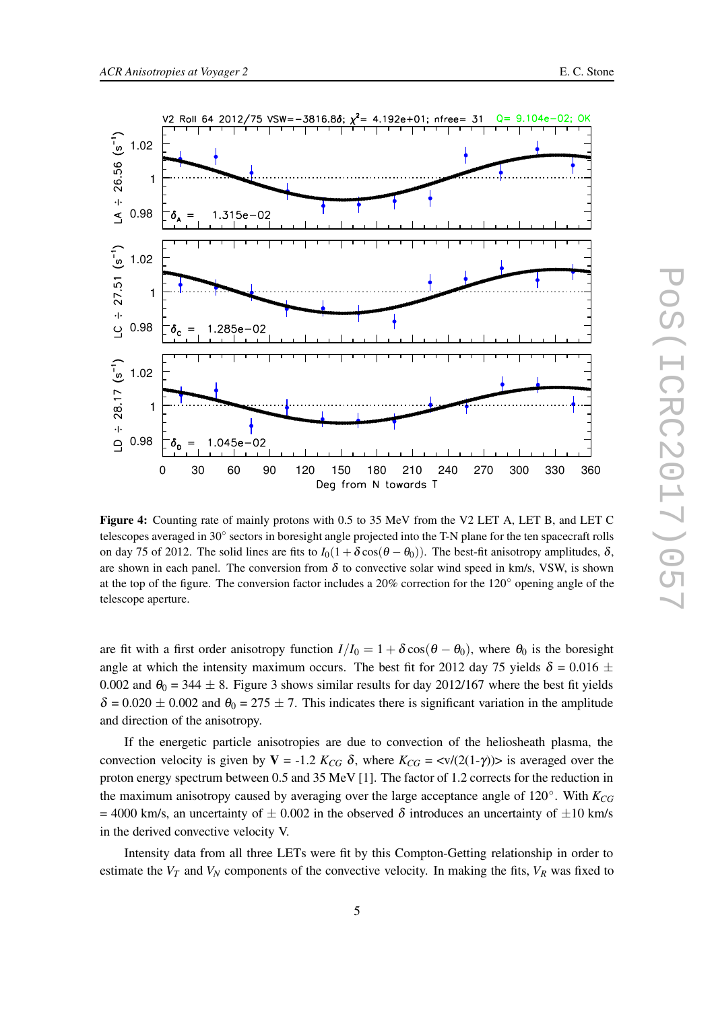

**Figure 4:** Counting rate of mainly protons with 0.5 to 35 MeV from the V2 LET A, LET B, and LET C telescopes averaged in 30° sectors in boresight angle projected into the T-N plane for the ten spacecraft rolls on day 75 of 2012. The solid lines are fits to  $I_0(1 + \delta \cos(\theta - \theta_0))$ . The best-fit anisotropy amplitudes,  $\delta$ , are shown in each panel. The conversion from  $\delta$  to convective solar wind speed in km/s, VSW, is shown at the top of the figure. The conversion factor includes a 20% correction for the 120◦ opening angle of the telescope aperture.

are fit with a first order anisotropy function  $I/I_0 = 1 + \delta \cos(\theta - \theta_0)$ , where  $\theta_0$  is the boresight angle at which the intensity maximum occurs. The best fit for 2012 day 75 yields  $\delta = 0.016 \pm 1.00$ 0.002 and  $\theta_0 = 344 \pm 8$ . Figure 3 shows similar results for day 2012/167 where the best fit yields  $\delta = 0.020 \pm 0.002$  and  $\theta_0 = 275 \pm 7$ . This indicates there is significant variation in the amplitude and direction of the anisotropy.

If the energetic particle anisotropies are due to convection of the heliosheath plasma, the convection velocity is given by **V** = -1.2  $K_{CG}$  δ, where  $K_{CG}$  = <v/(2(1-γ))> is averaged over the proton energy spectrum between 0.5 and 35 MeV [1]. The factor of 1.2 corrects for the reduction in the maximum anisotropy caused by averaging over the large acceptance angle of 120◦ . With *KCG* = 4000 km/s, an uncertainty of  $\pm$  0.002 in the observed  $\delta$  introduces an uncertainty of  $\pm$ 10 km/s in the derived convective velocity V.

Intensity data from all three LETs were fit by this Compton-Getting relationship in order to estimate the  $V_T$  and  $V_N$  components of the convective velocity. In making the fits,  $V_R$  was fixed to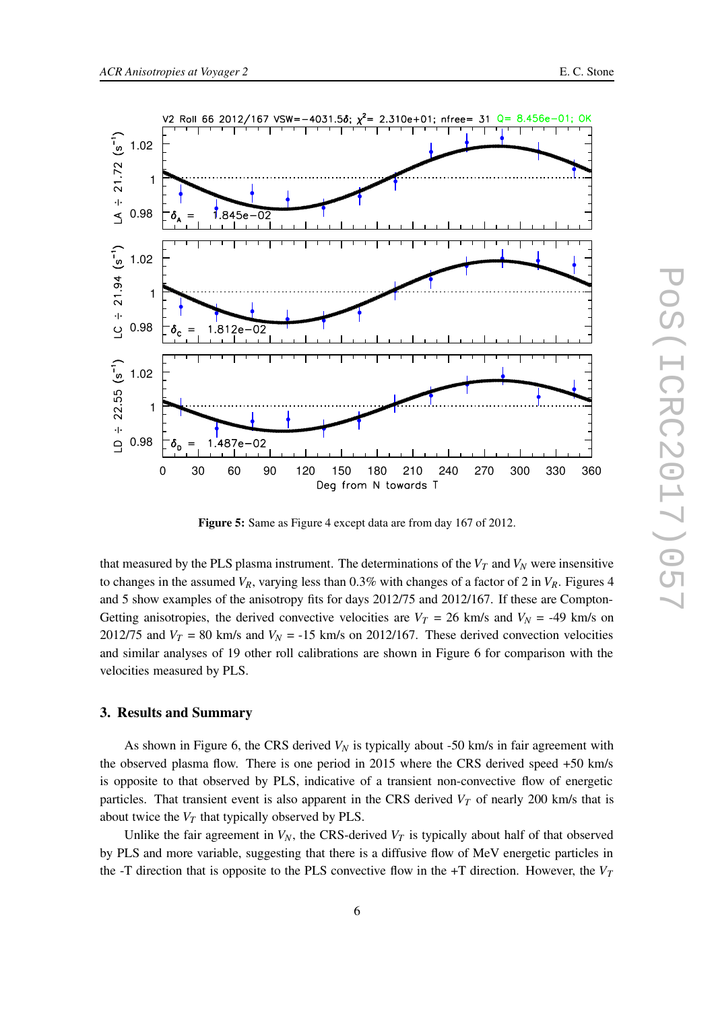

**Figure 5:** Same as Figure 4 except data are from day 167 of 2012.

that measured by the PLS plasma instrument. The determinations of the  $V_T$  and  $V_N$  were insensitive to changes in the assumed  $V_R$ , varying less than 0.3% with changes of a factor of 2 in  $V_R$ . Figures 4 and 5 show examples of the anisotropy fits for days 2012/75 and 2012/167. If these are Compton-Getting anisotropies, the derived convective velocities are  $V_T = 26$  km/s and  $V_N = -49$  km/s on 2012/75 and  $V_T = 80$  km/s and  $V_N = -15$  km/s on 2012/167. These derived convection velocities and similar analyses of 19 other roll calibrations are shown in Figure 6 for comparison with the velocities measured by PLS.

### **3. Results and Summary**

As shown in Figure 6, the CRS derived  $V_N$  is typically about -50 km/s in fair agreement with the observed plasma flow. There is one period in 2015 where the CRS derived speed +50 km/s is opposite to that observed by PLS, indicative of a transient non-convective flow of energetic particles. That transient event is also apparent in the CRS derived  $V_T$  of nearly 200 km/s that is about twice the  $V_T$  that typically observed by PLS.

Unlike the fair agreement in  $V_N$ , the CRS-derived  $V_T$  is typically about half of that observed by PLS and more variable, suggesting that there is a diffusive flow of MeV energetic particles in the -T direction that is opposite to the PLS convective flow in the +T direction. However, the  $V_T$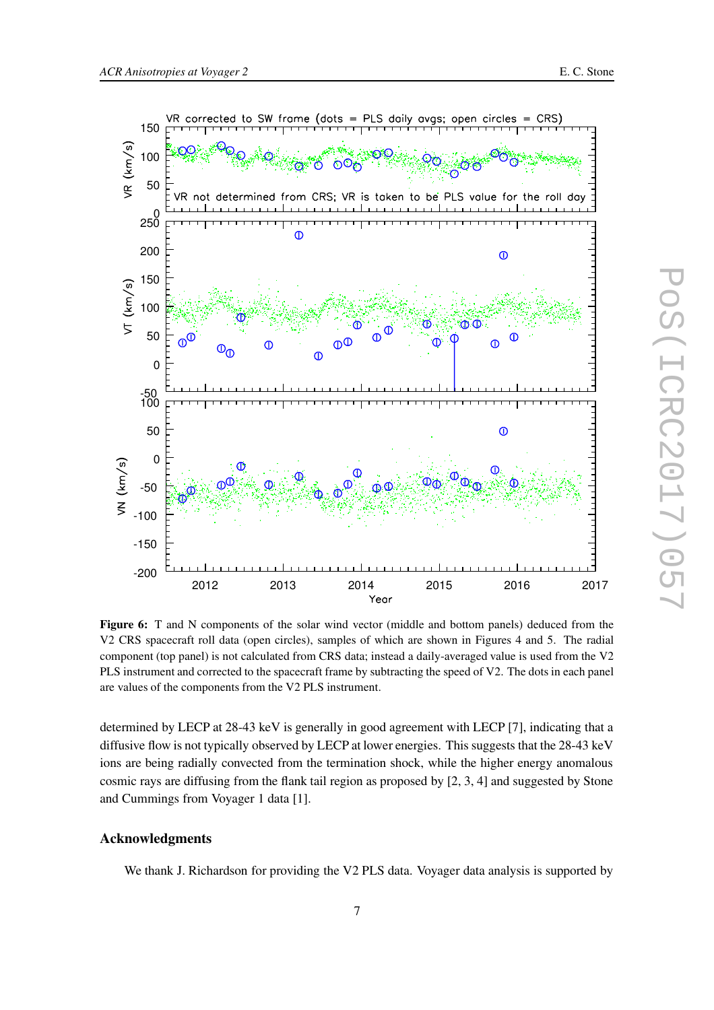

**Figure 6:** T and N components of the solar wind vector (middle and bottom panels) deduced from the V2 CRS spacecraft roll data (open circles), samples of which are shown in Figures 4 and 5. The radial component (top panel) is not calculated from CRS data; instead a daily-averaged value is used from the V2 PLS instrument and corrected to the spacecraft frame by subtracting the speed of V2. The dots in each panel are values of the components from the V2 PLS instrument.

determined by LECP at 28-43 keV is generally in good agreement with LECP [7], indicating that a diffusive flow is not typically observed by LECP at lower energies. This suggests that the 28-43 keV ions are being radially convected from the termination shock, while the higher energy anomalous cosmic rays are diffusing from the flank tail region as proposed by [2, 3, 4] and suggested by Stone and Cummings from Voyager 1 data [1].

# **Acknowledgments**

We thank J. Richardson for providing the V2 PLS data. Voyager data analysis is supported by